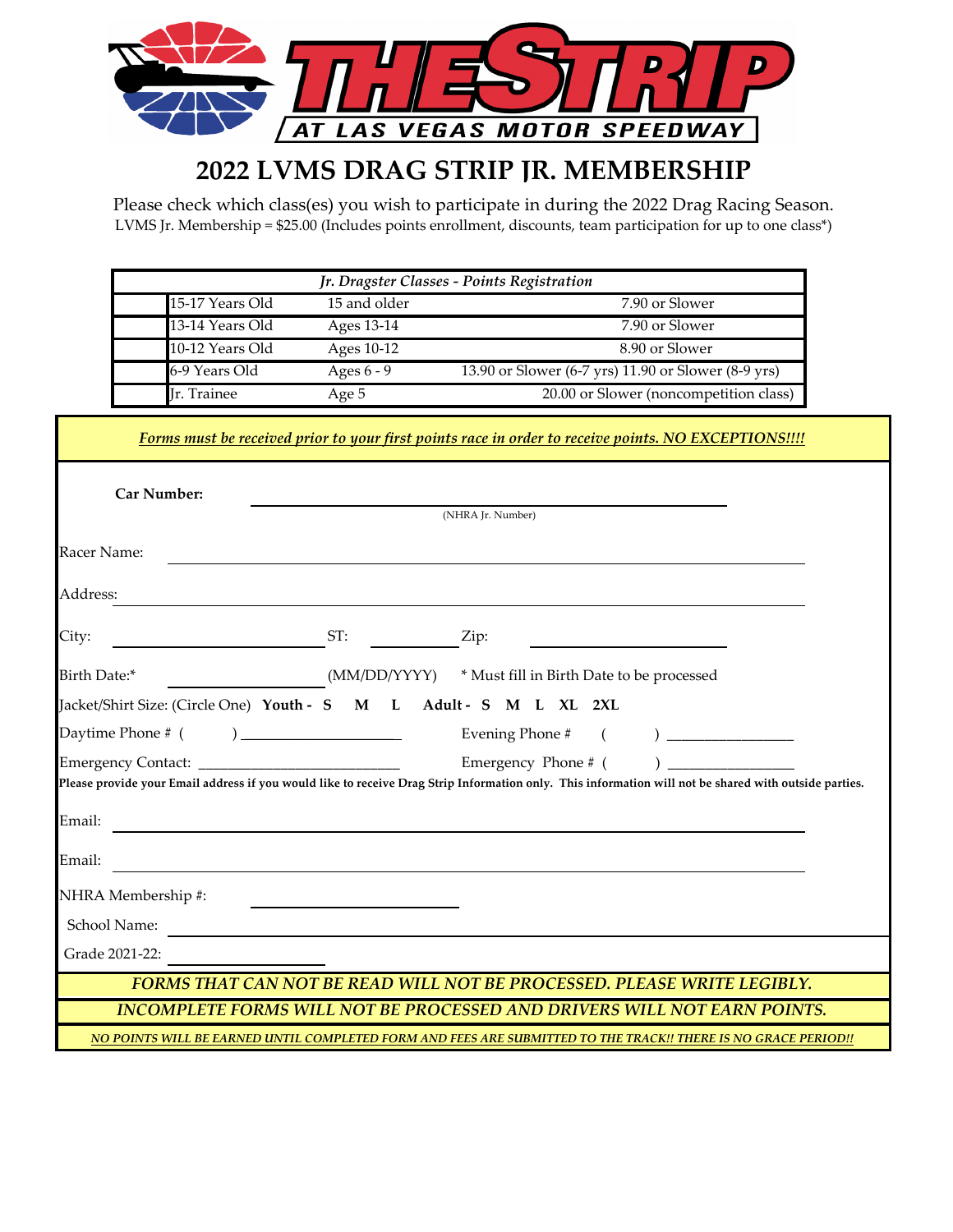

# **2022 LVMS DRAG STRIP JR. MEMBERSHIP**

Please check which class(es) you wish to participate in during the 2022 Drag Racing Season. LVMS Jr. Membership = \$25.00 (Includes points enrollment, discounts, team participation for up to one class\*)

| Jr. Dragster Classes - Points Registration |                 |              |                                                     |  |  |
|--------------------------------------------|-----------------|--------------|-----------------------------------------------------|--|--|
|                                            | 15-17 Years Old | 15 and older | 7.90 or Slower                                      |  |  |
|                                            | 13-14 Years Old | Ages 13-14   | 7.90 or Slower                                      |  |  |
|                                            | 10-12 Years Old | Ages 10-12   | 8.90 or Slower                                      |  |  |
|                                            | 6-9 Years Old   | Ages $6 - 9$ | 13.90 or Slower (6-7 yrs) 11.90 or Slower (8-9 yrs) |  |  |
|                                            | Ir. Trainee     | Age 5        | 20.00 or Slower (noncompetition class)              |  |  |

| Forms must be received prior to your first points race in order to receive points. NO EXCEPTIONS!!!!                                                                                                             |
|------------------------------------------------------------------------------------------------------------------------------------------------------------------------------------------------------------------|
| <b>Car Number:</b><br>(NHRA Jr. Number)                                                                                                                                                                          |
| Racer Name:                                                                                                                                                                                                      |
| Address:                                                                                                                                                                                                         |
| ST:<br>City:<br>Zip:                                                                                                                                                                                             |
| Birth Date:*<br>(MM/DD/YYYY) * Must fill in Birth Date to be processed                                                                                                                                           |
| Jacket/Shirt Size: (Circle One) Youth - S M L Adult - S M L XL 2XL                                                                                                                                               |
| $\begin{array}{c} \hline \end{array}$<br>Daytime Phone # (<br>Evening Phone #<br>$\begin{tabular}{ c c c c } \hline \quad \quad & \quad \quad & \quad \quad & \quad \quad \\ \hline \end{tabular}$<br>$\sqrt{2}$ |
| Emergency Phone # (                                                                                                                                                                                              |
| .<br>Please provide your Email address if you would like to receive Drag Strip Information only. This information will not be shared with outside parties.                                                       |
| Email:                                                                                                                                                                                                           |
| Email:<br><u> 1989 - Johann Stoff, deutscher Stoffen und der Stoffen und der Stoffen und der Stoffen und der Stoffen und der</u>                                                                                 |
| NHRA Membership #:                                                                                                                                                                                               |
| School Name:                                                                                                                                                                                                     |
| Grade 2021-22:                                                                                                                                                                                                   |
| FORMS THAT CAN NOT BE READ WILL NOT BE PROCESSED. PLEASE WRITE LEGIBLY.                                                                                                                                          |
| INCOMPLETE FORMS WILL NOT BE PROCESSED AND DRIVERS WILL NOT EARN POINTS.                                                                                                                                         |
| NO POINTS WILL BE EARNED UNTIL COMPLETED FORM AND FEES ARE SUBMITTED TO THE TRACK!! THERE IS NO GRACE PERIOD!!                                                                                                   |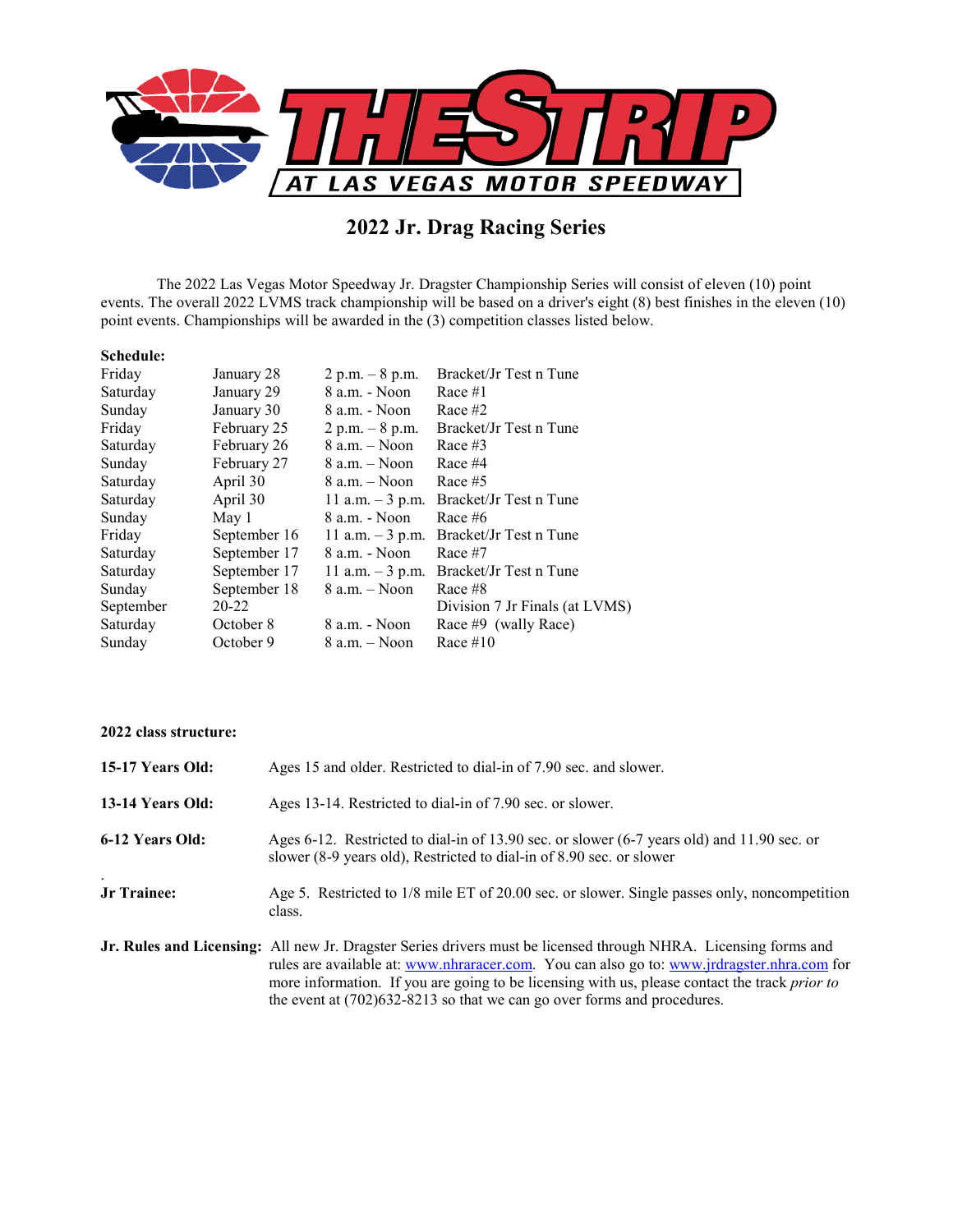

# **2022 Jr. Drag Racing Series**

The 2022 Las Vegas Motor Speedway Jr. Dragster Championship Series will consist of eleven (10) point events. The overall 2022 LVMS track championship will be based on a driver's eight (8) best finishes in the eleven (10) point events. Championships will be awarded in the (3) competition classes listed below.

| Friday    | January 28   | $2 p.m. - 8 p.m.$ | Bracket/Jr Test n Tune         |
|-----------|--------------|-------------------|--------------------------------|
| Saturday  | January 29   | 8 a.m. - Noon     | Race $#1$                      |
| Sunday    | January 30   | 8 a.m. - Noon     | Race $#2$                      |
| Friday    | February 25  | 2 p.m. $-8$ p.m.  | Bracket/Jr Test n Tune         |
| Saturday  | February 26  | $8$ a.m. $-$ Noon | Race $#3$                      |
| Sunday    | February 27  | $8$ a.m. $-$ Noon | Race #4                        |
| Saturday  | April 30     | $8$ a.m. $-$ Noon | Race #5                        |
| Saturday  | April 30     | 11 a.m. $-3$ p.m. | Bracket/Jr Test n Tune         |
| Sunday    | May 1        | $8$ a.m. - Noon   | Race #6                        |
| Friday    | September 16 | 11 a.m. $-3$ p.m. | Bracket/Jr Test n Tune         |
| Saturday  | September 17 | 8 a.m. - Noon     | Race $#7$                      |
| Saturday  | September 17 | 11 a.m. $-3$ p.m. | Bracket/Jr Test n Tune         |
| Sunday    | September 18 | $8$ a.m. $-$ Noon | Race #8                        |
| September | 20-22        |                   | Division 7 Jr Finals (at LVMS) |
| Saturday  | October 8    | 8 a.m. - Noon     | Race #9 (wally Race)           |
| Sunday    | October 9    | $8$ a.m. $-$ Noon | Race $#10$                     |
|           |              |                   |                                |

# **2022 class structure:**

| 15-17 Years Old: | Ages 15 and older. Restricted to dial-in of 7.90 sec. and slower.                                                                                                                                                                                                                                                                                                                             |  |
|------------------|-----------------------------------------------------------------------------------------------------------------------------------------------------------------------------------------------------------------------------------------------------------------------------------------------------------------------------------------------------------------------------------------------|--|
| 13-14 Years Old: | Ages 13-14. Restricted to dial-in of 7.90 sec. or slower.                                                                                                                                                                                                                                                                                                                                     |  |
| 6-12 Years Old:  | Ages 6-12. Restricted to dial-in of 13.90 sec. or slower (6-7 years old) and 11.90 sec. or<br>slower (8-9 years old), Restricted to dial-in of 8.90 sec. or slower                                                                                                                                                                                                                            |  |
| Jr Trainee:      | Age 5. Restricted to 1/8 mile ET of 20.00 sec. or slower. Single passes only, noncompetition<br>class.                                                                                                                                                                                                                                                                                        |  |
|                  | Jr. Rules and Licensing: All new Jr. Dragster Series drivers must be licensed through NHRA. Licensing forms and<br>rules are available at: www.nhraracer.com. You can also go to: www.jrdragster.nhra.com for<br>more information. If you are going to be licensing with us, please contact the track prior to<br>the event at $(702)632 - 8213$ so that we can go over forms and procedures. |  |